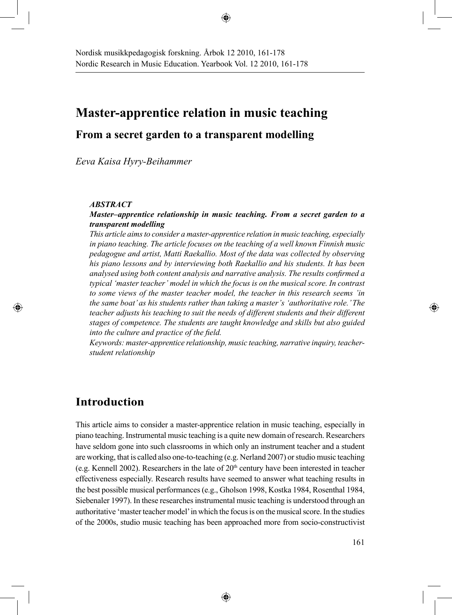# **Master-apprentice relation in music teaching**

### **From a secret garden to a transparent modelling**

*Eeva Kaisa Hyry-Beihammer*

#### *ABSTRACT*

### *Master–apprentice relationship in music teaching. From a secret garden to a transparent modelling*

♠

*This article aims to consider a master-apprentice relation in music teaching, especially in piano teaching. The article focuses on the teaching of a well known Finnish music pedagogue and artist, Matti Raekallio. Most of the data was collected by observing his piano lessons and by interviewing both Raekallio and his students. It has been analysed using both content analysis and narrative analysis. The results confirmed a typical 'master teacher' model in which the focus is on the musical score. In contrast to some views of the master teacher model, the teacher in this research seems 'in the same boat' as his students rather than taking a master's 'authoritative role.' The teacher adjusts his teaching to suit the needs of different students and their different stages of competence. The students are taught knowledge and skills but also guided into the culture and practice of the field.*

*Keywords: master-apprentice relationship, music teaching, narrative inquiry, teacherstudent relationship*

## **Introduction**

⊕

This article aims to consider a master-apprentice relation in music teaching, especially in piano teaching. Instrumental music teaching is a quite new domain of research. Researchers have seldom gone into such classrooms in which only an instrument teacher and a student are working, that is called also one-to-teaching (e.g. Nerland 2007) or studio music teaching (e.g. Kennell 2002). Researchers in the late of  $20<sup>th</sup>$  century have been interested in teacher effectiveness especially. Research results have seemed to answer what teaching results in the best possible musical performances (e.g., Gholson 1998, Kostka 1984, Rosenthal 1984, Siebenaler 1997). In these researches instrumental music teaching is understood through an authoritative 'master teacher model' in which the focus is on the musical score. In the studies of the 2000s, studio music teaching has been approached more from socio-constructivist

⊕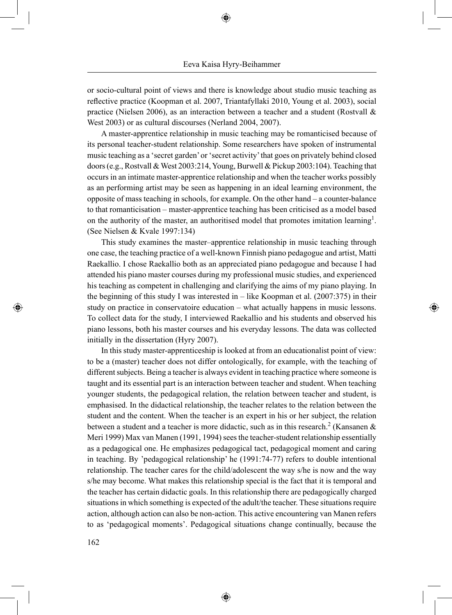or socio-cultural point of views and there is knowledge about studio music teaching as reflective practice (Koopman et al. 2007, Triantafyllaki 2010, Young et al. 2003), social practice (Nielsen 2006), as an interaction between a teacher and a student (Rostvall  $\&$ West 2003) or as cultural discourses (Nerland 2004, 2007).

 A master-apprentice relationship in music teaching may be romanticised because of its personal teacher-student relationship. Some researchers have spoken of instrumental music teaching as a 'secret garden' or 'secret activity' that goes on privately behind closed doors (e.g., Rostvall & West 2003:214, Young, Burwell & Pickup 2003:104). Teaching that occurs in an intimate master-apprentice relationship and when the teacher works possibly as an performing artist may be seen as happening in an ideal learning environment, the opposite of mass teaching in schools, for example. On the other hand – a counter-balance to that romanticisation – master-apprentice teaching has been criticised as a model based on the authority of the master, an authoritised model that promotes imitation learning<sup>1</sup>. (See Nielsen & Kvale 1997:134)

 This study examines the master–apprentice relationship in music teaching through one case, the teaching practice of a well-known Finnish piano pedagogue and artist, Matti Raekallio. I chose Raekallio both as an appreciated piano pedagogue and because I had attended his piano master courses during my professional music studies, and experienced his teaching as competent in challenging and clarifying the aims of my piano playing. In the beginning of this study I was interested in – like Koopman et al. (2007:375) in their study on practice in conservatoire education – what actually happens in music lessons. To collect data for the study, I interviewed Raekallio and his students and observed his piano lessons, both his master courses and his everyday lessons. The data was collected initially in the dissertation (Hyry 2007).

⊕

 In this study master-apprenticeship is looked at from an educationalist point of view: to be a (master) teacher does not differ ontologically, for example, with the teaching of different subjects. Being a teacher is always evident in teaching practice where someone is taught and its essential part is an interaction between teacher and student. When teaching younger students, the pedagogical relation, the relation between teacher and student, is emphasised. In the didactical relationship, the teacher relates to the relation between the student and the content. When the teacher is an expert in his or her subject, the relation between a student and a teacher is more didactic, such as in this research.<sup>2</sup> (Kansanen & Meri 1999) Max van Manen (1991, 1994) sees the teacher-student relationship essentially as a pedagogical one. He emphasizes pedagogical tact, pedagogical moment and caring in teaching. By 'pedagogical relationship' he (1991:74-77) refers to double intentional relationship. The teacher cares for the child/adolescent the way s/he is now and the way s/he may become. What makes this relationship special is the fact that it is temporal and the teacher has certain didactic goals. In this relationship there are pedagogically charged situations in which something is expected of the adult/the teacher. These situations require action, although action can also be non-action. This active encountering van Manen refers to as 'pedagogical moments'. Pedagogical situations change continually, because the

⊕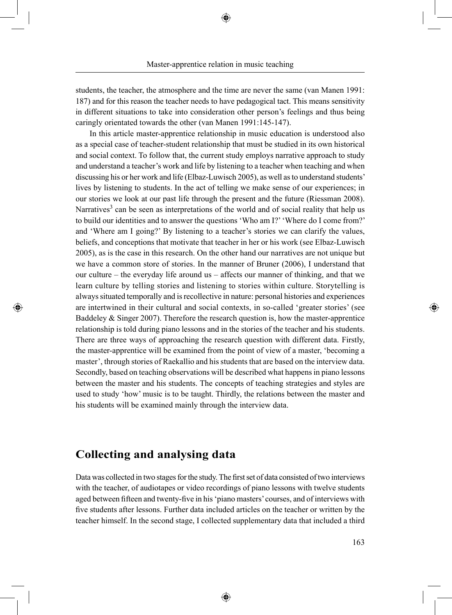students, the teacher, the atmosphere and the time are never the same (van Manen 1991: 187) and for this reason the teacher needs to have pedagogical tact. This means sensitivity in different situations to take into consideration other person's feelings and thus being caringly orientated towards the other (van Manen 1991:145-147).

In this article master-apprentice relationship in music education is understood also as a special case of teacher-student relationship that must be studied in its own historical and social context. To follow that, the current study employs narrative approach to study and understand a teacher's work and life by listening to a teacher when teaching and when discussing his or her work and life (Elbaz-Luwisch 2005), as well as to understand students' lives by listening to students. In the act of telling we make sense of our experiences; in our stories we look at our past life through the present and the future (Riessman 2008). Narratives<sup>3</sup> can be seen as interpretations of the world and of social reality that help us to build our identities and to answer the questions 'Who am I?' 'Where do I come from?' and 'Where am I going?' By listening to a teacher's stories we can clarify the values, beliefs, and conceptions that motivate that teacher in her or his work (see Elbaz-Luwisch 2005), as is the case in this research. On the other hand our narratives are not unique but we have a common store of stories. In the manner of Bruner (2006), I understand that our culture – the everyday life around us – affects our manner of thinking, and that we learn culture by telling stories and listening to stories within culture. Storytelling is always situated temporally and is recollective in nature: personal histories and experiences are intertwined in their cultural and social contexts, in so-called 'greater stories' (see Baddeley & Singer 2007). Therefore the research question is, how the master-apprentice relationship is told during piano lessons and in the stories of the teacher and his students. There are three ways of approaching the research question with different data. Firstly, the master-apprentice will be examined from the point of view of a master, 'becoming a master', through stories of Raekallio and his students that are based on the interview data. Secondly, based on teaching observations will be described what happens in piano lessons between the master and his students. The concepts of teaching strategies and styles are used to study 'how' music is to be taught. Thirdly, the relations between the master and his students will be examined mainly through the interview data.

## **Collecting and analysing data**

⊕

Data was collected in two stages for the study. The first set of data consisted of two interviews with the teacher, of audiotapes or video recordings of piano lessons with twelve students aged between fifteen and twenty-five in his 'piano masters' courses, and of interviews with five students after lessons. Further data included articles on the teacher or written by the teacher himself. In the second stage, I collected supplementary data that included a third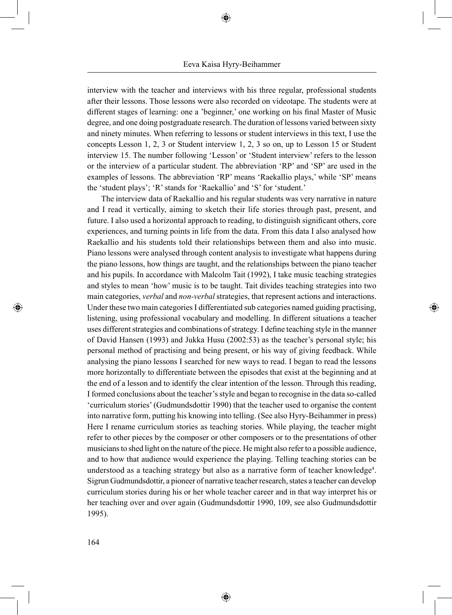interview with the teacher and interviews with his three regular, professional students after their lessons. Those lessons were also recorded on videotape. The students were at different stages of learning: one a 'beginner,' one working on his final Master of Music degree, and one doing postgraduate research. The duration of lessons varied between sixty and ninety minutes. When referring to lessons or student interviews in this text, I use the concepts Lesson 1, 2, 3 or Student interview 1, 2, 3 so on, up to Lesson 15 or Student interview 15. The number following 'Lesson' or 'Student interview' refers to the lesson or the interview of a particular student. The abbreviation 'RP' and 'SP' are used in the examples of lessons. The abbreviation 'RP' means 'Raekallio plays,' while 'SP' means the 'student plays'; 'R' stands for 'Raekallio' and 'S' for 'student.'

The interview data of Raekallio and his regular students was very narrative in nature and I read it vertically, aiming to sketch their life stories through past, present, and future. I also used a horizontal approach to reading, to distinguish significant others, core experiences, and turning points in life from the data. From this data I also analysed how Raekallio and his students told their relationships between them and also into music. Piano lessons were analysed through content analysis to investigate what happens during the piano lessons, how things are taught, and the relationships between the piano teacher and his pupils. In accordance with Malcolm Tait (1992), I take music teaching strategies and styles to mean 'how' music is to be taught. Tait divides teaching strategies into two main categories, *verbal* and *non-verbal* strategies, that represent actions and interactions. Under these two main categories I differentiated sub categories named guiding practising, listening, using professional vocabulary and modelling. In different situations a teacher uses different strategies and combinations of strategy. I define teaching style in the manner of David Hansen (1993) and Jukka Husu (2002:53) as the teacher's personal style; his personal method of practising and being present, or his way of giving feedback. While analysing the piano lessons I searched for new ways to read. I began to read the lessons more horizontally to differentiate between the episodes that exist at the beginning and at the end of a lesson and to identify the clear intention of the lesson. Through this reading, I formed conclusions about the teacher's style and began to recognise in the data so-called 'curriculum stories' (Gudmundsdottir 1990) that the teacher used to organise the content into narrative form, putting his knowing into telling. (See also Hyry-Beihammer in press) Here I rename curriculum stories as teaching stories. While playing, the teacher might refer to other pieces by the composer or other composers or to the presentations of other musicians to shed light on the nature of the piece. He might also refer to a possible audience, and to how that audience would experience the playing. Telling teaching stories can be understood as a teaching strategy but also as a narrative form of teacher knowledge<sup>4</sup>. Sigrun Gudmundsdottir, a pioneer of narrative teacher research, states a teacher can develop curriculum stories during his or her whole teacher career and in that way interpret his or her teaching over and over again (Gudmundsdottir 1990, 109, see also Gudmundsdottir 1995).

⊕

⊕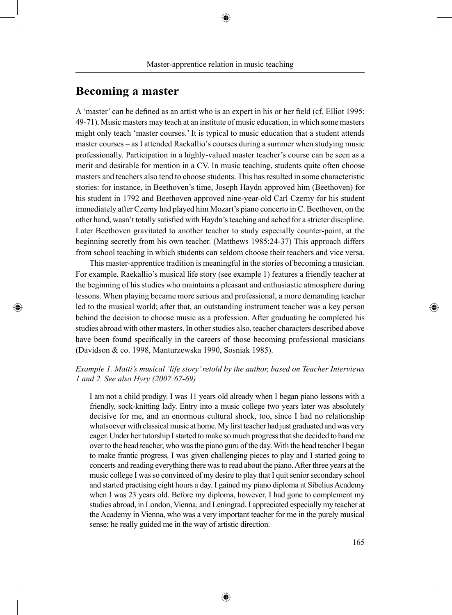## **Becoming a master**

⊕

A 'master' can be defined as an artist who is an expert in his or her field (cf. Elliot 1995: 49-71). Music masters may teach at an institute of music education, in which some masters might only teach 'master courses.' It is typical to music education that a student attends master courses – as I attended Raekallio's courses during a summer when studying music professionally. Participation in a highly-valued master teacher's course can be seen as a merit and desirable for mention in a CV. In music teaching, students quite often choose masters and teachers also tend to choose students. This has resulted in some characteristic stories: for instance, in Beethoven's time, Joseph Haydn approved him (Beethoven) for his student in 1792 and Beethoven approved nine-year-old Carl Czerny for his student immediately after Czerny had played him Mozart's piano concerto in C. Beethoven, on the other hand, wasn't totally satisfied with Haydn's teaching and ached for a stricter discipline. Later Beethoven gravitated to another teacher to study especially counter-point, at the beginning secretly from his own teacher. (Matthews 1985:24-37) This approach differs from school teaching in which students can seldom choose their teachers and vice versa.

This master-apprentice tradition is meaningful in the stories of becoming a musician. For example, Raekallio's musical life story (see example 1) features a friendly teacher at the beginning of his studies who maintains a pleasant and enthusiastic atmosphere during lessons. When playing became more serious and professional, a more demanding teacher led to the musical world; after that, an outstanding instrument teacher was a key person behind the decision to choose music as a profession. After graduating he completed his studies abroad with other masters. In other studies also, teacher characters described above have been found specifically in the careers of those becoming professional musicians (Davidson & co. 1998, Manturzewska 1990, Sosniak 1985).

### *Example 1. Matti's musical 'life story' retold by the author, based on Teacher Interviews 1 and 2. See also Hyry (2007:67-69)*

I am not a child prodigy. I was 11 years old already when I began piano lessons with a friendly, sock-knitting lady. Entry into a music college two years later was absolutely decisive for me, and an enormous cultural shock, too, since I had no relationship whatsoever with classical music at home. My first teacher had just graduated and was very eager. Under her tutorship I started to make so much progress that she decided to hand me over to the head teacher, who was the piano guru of the day. With the head teacher I began to make frantic progress. I was given challenging pieces to play and I started going to concerts and reading everything there was to read about the piano. After three years at the music college I was so convinced of my desire to play that I quit senior secondary school and started practising eight hours a day. I gained my piano diploma at Sibelius Academy when I was 23 years old. Before my diploma, however, I had gone to complement my studies abroad, in London, Vienna, and Leningrad. I appreciated especially my teacher at the Academy in Vienna, who was a very important teacher for me in the purely musical sense; he really guided me in the way of artistic direction.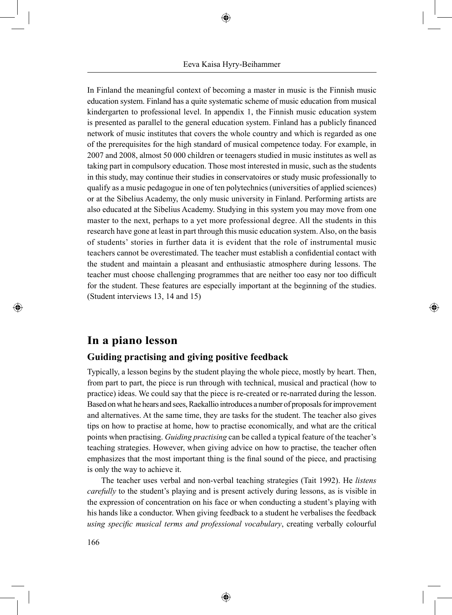In Finland the meaningful context of becoming a master in music is the Finnish music education system. Finland has a quite systematic scheme of music education from musical kindergarten to professional level. In appendix 1, the Finnish music education system is presented as parallel to the general education system. Finland has a publicly financed network of music institutes that covers the whole country and which is regarded as one of the prerequisites for the high standard of musical competence today. For example, in 2007 and 2008, almost 50 000 children or teenagers studied in music institutes as well as taking part in compulsory education. Those most interested in music, such as the students in this study, may continue their studies in conservatoires or study music professionally to qualify as a music pedagogue in one of ten polytechnics (universities of applied sciences) or at the Sibelius Academy, the only music university in Finland. Performing artists are also educated at the Sibelius Academy. Studying in this system you may move from one master to the next, perhaps to a yet more professional degree. All the students in this research have gone at least in part through this music education system. Also, on the basis of students' stories in further data it is evident that the role of instrumental music teachers cannot be overestimated. The teacher must establish a confidential contact with the student and maintain a pleasant and enthusiastic atmosphere during lessons. The teacher must choose challenging programmes that are neither too easy nor too difficult for the student. These features are especially important at the beginning of the studies. (Student interviews 13, 14 and 15)

⊕

### **In a piano lesson**

◈

### **Guiding practising and giving positive feedback**

Typically, a lesson begins by the student playing the whole piece, mostly by heart. Then, from part to part, the piece is run through with technical, musical and practical (how to practice) ideas. We could say that the piece is re-created or re-narrated during the lesson. Based on what he hears and sees, Raekallio introduces a number of proposals for improvement and alternatives. At the same time, they are tasks for the student. The teacher also gives tips on how to practise at home, how to practise economically, and what are the critical points when practising. *Guiding practising* can be called a typical feature of the teacher's teaching strategies. However, when giving advice on how to practise, the teacher often emphasizes that the most important thing is the final sound of the piece, and practising is only the way to achieve it.

 The teacher uses verbal and non-verbal teaching strategies (Tait 1992). He *listens carefully* to the student's playing and is present actively during lessons, as is visible in the expression of concentration on his face or when conducting a student's playing with his hands like a conductor. When giving feedback to a student he verbalises the feedback *using specific musical terms and professional vocabulary*, creating verbally colourful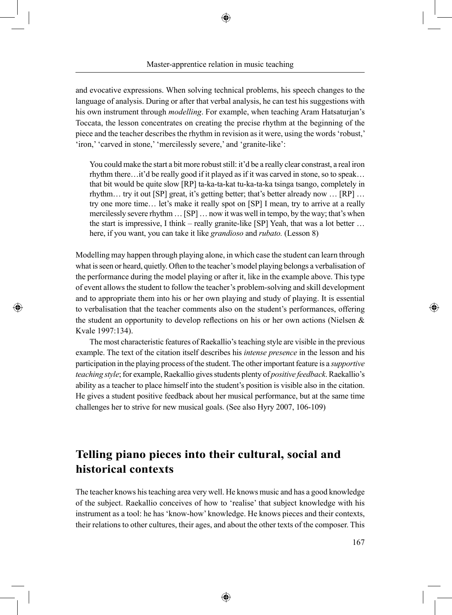#### Master-apprentice relation in music teaching

♠

and evocative expressions. When solving technical problems, his speech changes to the language of analysis. During or after that verbal analysis, he can test his suggestions with his own instrument through *modelling*. For example, when teaching Aram Hatsaturjan's Toccata, the lesson concentrates on creating the precise rhythm at the beginning of the piece and the teacher describes the rhythm in revision as it were, using the words 'robust,' 'iron,' 'carved in stone,' 'mercilessly severe,' and 'granite-like':

You could make the start a bit more robust still: it'd be a really clear constrast, a real iron rhythm there…it'd be really good if it played as if it was carved in stone, so to speak… that bit would be quite slow [RP] ta-ka-ta-kat tu-ka-ta-ka tsinga tsango, completely in rhythm… try it out [SP] great, it's getting better; that's better already now … [RP] … try one more time… let's make it really spot on [SP] I mean, try to arrive at a really mercilessly severe rhythm … [SP] … now it was well in tempo, by the way; that's when the start is impressive, I think – really granite-like [SP] Yeah, that was a lot better … here, if you want, you can take it like *grandioso* and *rubato.* (Lesson 8)

Modelling may happen through playing alone, in which case the student can learn through what is seen or heard, quietly. Often to the teacher's model playing belongs a verbalisation of the performance during the model playing or after it, like in the example above. This type of event allows the student to follow the teacher's problem-solving and skill development and to appropriate them into his or her own playing and study of playing. It is essential to verbalisation that the teacher comments also on the student's performances, offering the student an opportunity to develop reflections on his or her own actions (Nielsen  $\&$ Kvale 1997:134).

⊕

 The most characteristic features of Raekallio's teaching style are visible in the previous example. The text of the citation itself describes his *intense presence* in the lesson and his participation in the playing process of the student. The other important feature is a *supportive teaching style*; for example, Raekallio gives students plenty of *positive feedback*. Raekallio's ability as a teacher to place himself into the student's position is visible also in the citation. He gives a student positive feedback about her musical performance, but at the same time challenges her to strive for new musical goals. (See also Hyry 2007, 106-109)

# **Telling piano pieces into their cultural, social and historical contexts**

The teacher knows his teaching area very well. He knows music and has a good knowledge of the subject. Raekallio conceives of how to 'realise' that subject knowledge with his instrument as a tool: he has 'know-how' knowledge. He knows pieces and their contexts, their relations to other cultures, their ages, and about the other texts of the composer. This

⊕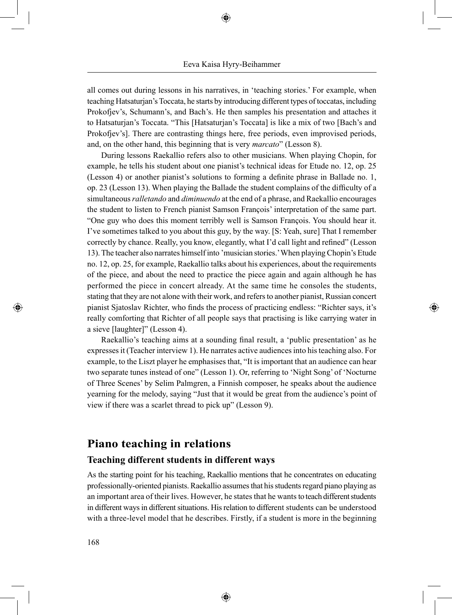all comes out during lessons in his narratives, in 'teaching stories.' For example, when teaching Hatsaturjan's Toccata, he starts by introducing different types of toccatas, including Prokofjev's, Schumann's, and Bach's. He then samples his presentation and attaches it to Hatsaturjan's Toccata. "This [Hatsaturjan's Toccata] is like a mix of two [Bach's and Prokofjev's]. There are contrasting things here, free periods, even improvised periods, and, on the other hand, this beginning that is very *marcato*" (Lesson 8).

 During lessons Raekallio refers also to other musicians. When playing Chopin, for example, he tells his student about one pianist's technical ideas for Etude no. 12, op. 25 (Lesson 4) or another pianist's solutions to forming a definite phrase in Ballade no. 1, op. 23 (Lesson 13). When playing the Ballade the student complains of the difficulty of a simultaneous *ralletando* and *diminuendo* at the end of a phrase, and Raekallio encourages the student to listen to French pianist Samson François' interpretation of the same part. "One guy who does this moment terribly well is Samson François. You should hear it. I've sometimes talked to you about this guy, by the way. [S: Yeah, sure] That I remember correctly by chance. Really, you know, elegantly, what I'd call light and refined" (Lesson 13). The teacher also narrates himself into 'musician stories.' When playing Chopin's Etude no. 12, op. 25, for example, Raekallio talks about his experiences, about the requirements of the piece, and about the need to practice the piece again and again although he has performed the piece in concert already. At the same time he consoles the students, stating that they are not alone with their work, and refers to another pianist, Russian concert pianist Sjatoslav Richter, who finds the process of practicing endless: "Richter says, it's really comforting that Richter of all people says that practising is like carrying water in a sieve [laughter]" (Lesson 4).

⊕

 Raekallio's teaching aims at a sounding final result, a 'public presentation' as he expresses it (Teacher interview 1). He narrates active audiences into his teaching also. For example, to the Liszt player he emphasises that, "It is important that an audience can hear two separate tunes instead of one" (Lesson 1). Or, referring to 'Night Song' of 'Nocturne of Three Scenes' by Selim Palmgren, a Finnish composer, he speaks about the audience yearning for the melody, saying "Just that it would be great from the audience's point of view if there was a scarlet thread to pick up" (Lesson 9).

## **Piano teaching in relations**

### **Teaching different students in different ways**

As the starting point for his teaching, Raekallio mentions that he concentrates on educating professionally-oriented pianists. Raekallio assumes that his students regard piano playing as an important area of their lives. However, he states that he wants to teach different students in different ways in different situations. His relation to different students can be understood with a three-level model that he describes. Firstly, if a student is more in the beginning

⊕

◈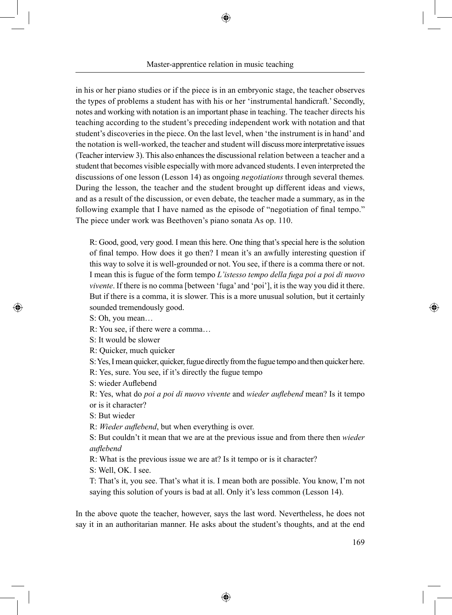in his or her piano studies or if the piece is in an embryonic stage, the teacher observes the types of problems a student has with his or her 'instrumental handicraft.' Secondly, notes and working with notation is an important phase in teaching. The teacher directs his teaching according to the student's preceding independent work with notation and that student's discoveries in the piece. On the last level, when 'the instrument is in hand' and the notation is well-worked, the teacher and student will discuss more interpretative issues (Teacher interview 3). This also enhances the discussional relation between a teacher and a student that becomes visible especially with more advanced students. I even interpreted the discussions of one lesson (Lesson 14) as ongoing *negotiations* through several themes*.*  During the lesson, the teacher and the student brought up different ideas and views, and as a result of the discussion, or even debate, the teacher made a summary, as in the following example that I have named as the episode of "negotiation of final tempo." The piece under work was Beethoven's piano sonata As op. 110.

R: Good, good, very good. I mean this here. One thing that's special here is the solution of final tempo. How does it go then? I mean it's an awfully interesting question if this way to solve it is well-grounded or not. You see, if there is a comma there or not. I mean this is fugue of the form tempo *L'istesso tempo della fuga poi a poi di nuovo vivente*. If there is no comma [between 'fuga' and 'poi'], it is the way you did it there. But if there is a comma, it is slower. This is a more unusual solution, but it certainly sounded tremendously good.

S: Oh, you mean…

⊕

- R: You see, if there were a comma…
- S: It would be slower
- R: Quicker, much quicker

S: Yes, I mean quicker, quicker, fugue directly from the fugue tempo and then quicker here.

R: Yes, sure. You see, if it's directly the fugue tempo

S: wieder Auflebend

R: Yes, what do *poi a poi di nuovo vivente* and *wieder auflebend* mean? Is it tempo or is it character?

S: But wieder

R: *Wieder auflebend*, but when everything is over.

S: But couldn't it mean that we are at the previous issue and from there then *wieder auflebend*

R: What is the previous issue we are at? Is it tempo or is it character?

S: Well, OK. I see.

T: That's it, you see. That's what it is. I mean both are possible. You know, I'm not saying this solution of yours is bad at all. Only it's less common (Lesson 14).

In the above quote the teacher, however, says the last word. Nevertheless, he does not say it in an authoritarian manner. He asks about the student's thoughts, and at the end

⊕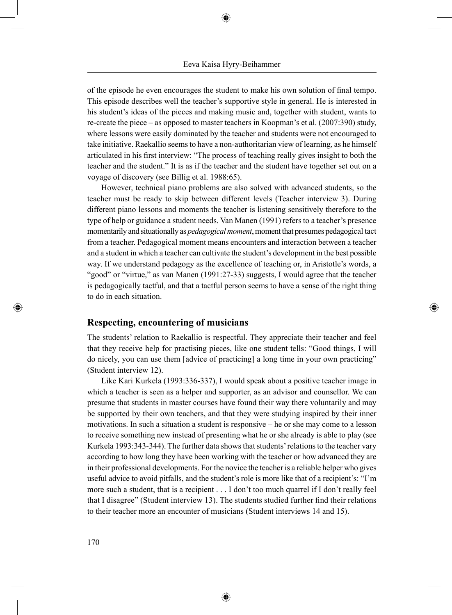of the episode he even encourages the student to make his own solution of final tempo. This episode describes well the teacher's supportive style in general. He is interested in his student's ideas of the pieces and making music and, together with student, wants to re-create the piece – as opposed to master teachers in Koopman's et al. (2007:390) study, where lessons were easily dominated by the teacher and students were not encouraged to take initiative. Raekallio seems to have a non-authoritarian view of learning, as he himself articulated in his first interview: "The process of teaching really gives insight to both the teacher and the student." It is as if the teacher and the student have together set out on a voyage of discovery (see Billig et al. 1988:65).

 However, technical piano problems are also solved with advanced students, so the teacher must be ready to skip between different levels (Teacher interview 3). During different piano lessons and moments the teacher is listening sensitively therefore to the type of help or guidance a student needs. Van Manen (1991) refers to a teacher's presence momentarily and situationally as *pedagogical moment*, moment that presumes pedagogical tact from a teacher. Pedagogical moment means encounters and interaction between a teacher and a student in which a teacher can cultivate the student's development in the best possible way. If we understand pedagogy as the excellence of teaching or, in Aristotle's words, a "good" or "virtue," as van Manen (1991:27-33) suggests, I would agree that the teacher is pedagogically tactful, and that a tactful person seems to have a sense of the right thing to do in each situation.

### **Respecting, encountering of musicians**

The students' relation to Raekallio is respectful. They appreciate their teacher and feel that they receive help for practising pieces, like one student tells: "Good things, I will do nicely, you can use them [advice of practicing] a long time in your own practicing" (Student interview 12).

⊕

 Like Kari Kurkela (1993:336-337), I would speak about a positive teacher image in which a teacher is seen as a helper and supporter, as an advisor and counsellor. We can presume that students in master courses have found their way there voluntarily and may be supported by their own teachers, and that they were studying inspired by their inner motivations. In such a situation a student is responsive – he or she may come to a lesson to receive something new instead of presenting what he or she already is able to play (see Kurkela 1993:343-344). The further data shows that students' relations to the teacher vary according to how long they have been working with the teacher or how advanced they are in their professional developments. For the novice the teacher is a reliable helper who gives useful advice to avoid pitfalls, and the student's role is more like that of a recipient's: "I'm more such a student, that is a recipient . . . I don't too much quarrel if I don't really feel that I disagree" (Student interview 13). The students studied further find their relations to their teacher more an encounter of musicians (Student interviews 14 and 15).

⊕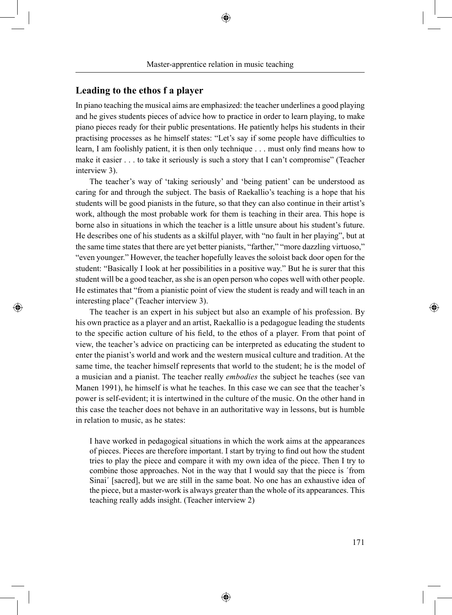### **Leading to the ethos f a player**

⊕

In piano teaching the musical aims are emphasized: the teacher underlines a good playing and he gives students pieces of advice how to practice in order to learn playing, to make piano pieces ready for their public presentations. He patiently helps his students in their practising processes as he himself states: "Let's say if some people have difficulties to learn, I am foolishly patient, it is then only technique . . . must only find means how to make it easier . . . to take it seriously is such a story that I can't compromise" (Teacher interview 3).

 The teacher's way of 'taking seriously' and 'being patient' can be understood as caring for and through the subject. The basis of Raekallio's teaching is a hope that his students will be good pianists in the future, so that they can also continue in their artist's work, although the most probable work for them is teaching in their area. This hope is borne also in situations in which the teacher is a little unsure about his student's future. He describes one of his students as a skilful player, with "no fault in her playing", but at the same time states that there are yet better pianists, "farther," "more dazzling virtuoso," "even younger." However, the teacher hopefully leaves the soloist back door open for the student: "Basically I look at her possibilities in a positive way." But he is surer that this student will be a good teacher, as she is an open person who copes well with other people. He estimates that "from a pianistic point of view the student is ready and will teach in an interesting place" (Teacher interview 3).

The teacher is an expert in his subject but also an example of his profession. By his own practice as a player and an artist, Raekallio is a pedagogue leading the students to the specific action culture of his field, to the ethos of a player. From that point of view, the teacher's advice on practicing can be interpreted as educating the student to enter the pianist's world and work and the western musical culture and tradition. At the same time, the teacher himself represents that world to the student; he is the model of a musician and a pianist. The teacher really *embodies* the subject he teaches (see van Manen 1991), he himself is what he teaches. In this case we can see that the teacher's power is self-evident; it is intertwined in the culture of the music. On the other hand in this case the teacher does not behave in an authoritative way in lessons, but is humble in relation to music, as he states:

I have worked in pedagogical situations in which the work aims at the appearances of pieces. Pieces are therefore important. I start by trying to find out how the student tries to play the piece and compare it with my own idea of the piece. Then I try to combine those approaches. Not in the way that I would say that the piece is ´from Sinai´ [sacred], but we are still in the same boat. No one has an exhaustive idea of the piece, but a master-work is always greater than the whole of its appearances. This teaching really adds insight. (Teacher interview 2)

⊕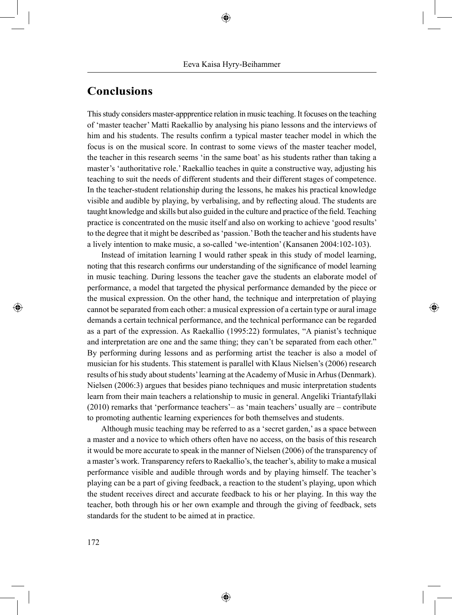## **Conclusions**

This study considers master-appprentice relation in music teaching. It focuses on the teaching of 'master teacher' Matti Raekallio by analysing his piano lessons and the interviews of him and his students. The results confirm a typical master teacher model in which the focus is on the musical score. In contrast to some views of the master teacher model, the teacher in this research seems 'in the same boat' as his students rather than taking a master's 'authoritative role.' Raekallio teaches in quite a constructive way, adjusting his teaching to suit the needs of different students and their different stages of competence. In the teacher-student relationship during the lessons, he makes his practical knowledge visible and audible by playing, by verbalising, and by reflecting aloud. The students are taught knowledge and skills but also guided in the culture and practice of the field. Teaching practice is concentrated on the music itself and also on working to achieve 'good results' to the degree that it might be described as 'passion.' Both the teacher and his students have a lively intention to make music, a so-called 'we-intention' (Kansanen 2004:102-103).

 Instead of imitation learning I would rather speak in this study of model learning, noting that this research confirms our understanding of the significance of model learning in music teaching. During lessons the teacher gave the students an elaborate model of performance, a model that targeted the physical performance demanded by the piece or the musical expression. On the other hand, the technique and interpretation of playing cannot be separated from each other: a musical expression of a certain type or aural image demands a certain technical performance, and the technical performance can be regarded as a part of the expression. As Raekallio (1995:22) formulates, "A pianist's technique and interpretation are one and the same thing; they can't be separated from each other." By performing during lessons and as performing artist the teacher is also a model of musician for his students. This statement is parallel with Klaus Nielsen's (2006) research results of his study about students' learning at the Academy of Music in Arhus (Denmark). Nielsen (2006:3) argues that besides piano techniques and music interpretation students learn from their main teachers a relationship to music in general. Angeliki Triantafyllaki (2010) remarks that 'performance teachers'– as 'main teachers' usually are – contribute to promoting authentic learning experiences for both themselves and students.

</del>

Although music teaching may be referred to as a 'secret garden,' as a space between a master and a novice to which others often have no access, on the basis of this research it would be more accurate to speak in the manner of Nielsen (2006) of the transparency of a master's work. Transparency refers to Raekallio's, the teacher's, ability to make a musical performance visible and audible through words and by playing himself. The teacher's playing can be a part of giving feedback, a reaction to the student's playing, upon which the student receives direct and accurate feedback to his or her playing. In this way the teacher, both through his or her own example and through the giving of feedback, sets standards for the student to be aimed at in practice.

⊕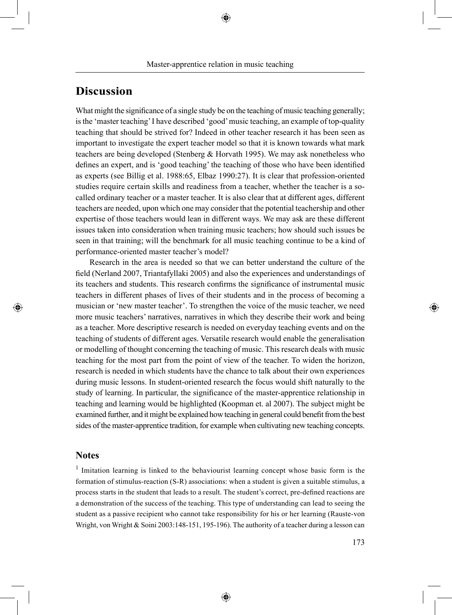# **Discussion**

What might the significance of a single study be on the teaching of music teaching generally; is the 'master teaching' I have described 'good' music teaching, an example of top-quality teaching that should be strived for? Indeed in other teacher research it has been seen as important to investigate the expert teacher model so that it is known towards what mark teachers are being developed (Stenberg & Horvath 1995). We may ask nonetheless who defines an expert, and is 'good teaching' the teaching of those who have been identified as experts (see Billig et al. 1988:65, Elbaz 1990:27). It is clear that profession-oriented studies require certain skills and readiness from a teacher, whether the teacher is a socalled ordinary teacher or a master teacher. It is also clear that at different ages, different teachers are needed, upon which one may consider that the potential teachership and other expertise of those teachers would lean in different ways. We may ask are these different issues taken into consideration when training music teachers; how should such issues be seen in that training; will the benchmark for all music teaching continue to be a kind of performance-oriented master teacher's model?

 Research in the area is needed so that we can better understand the culture of the field (Nerland 2007, Triantafyllaki 2005) and also the experiences and understandings of its teachers and students. This research confirms the significance of instrumental music teachers in different phases of lives of their students and in the process of becoming a musician or 'new master teacher'. To strengthen the voice of the music teacher, we need more music teachers' narratives, narratives in which they describe their work and being as a teacher. More descriptive research is needed on everyday teaching events and on the teaching of students of different ages. Versatile research would enable the generalisation or modelling of thought concerning the teaching of music. This research deals with music teaching for the most part from the point of view of the teacher. To widen the horizon, research is needed in which students have the chance to talk about their own experiences during music lessons. In student-oriented research the focus would shift naturally to the study of learning. In particular, the significance of the master-apprentice relationship in teaching and learning would be highlighted (Koopman et. al 2007). The subject might be examined further, and it might be explained how teaching in general could benefit from the best sides of the master-apprentice tradition, for example when cultivating new teaching concepts.

### **Notes**

⊕

<sup>1</sup> Imitation learning is linked to the behaviourist learning concept whose basic form is the formation of stimulus-reaction (S-R) associations: when a student is given a suitable stimulus, a process starts in the student that leads to a result. The student's correct, pre-defined reactions are a demonstration of the success of the teaching. This type of understanding can lead to seeing the student as a passive recipient who cannot take responsibility for his or her learning (Rauste-von Wright, von Wright & Soini 2003:148-151, 195-196). The authority of a teacher during a lesson can

⊕

</del>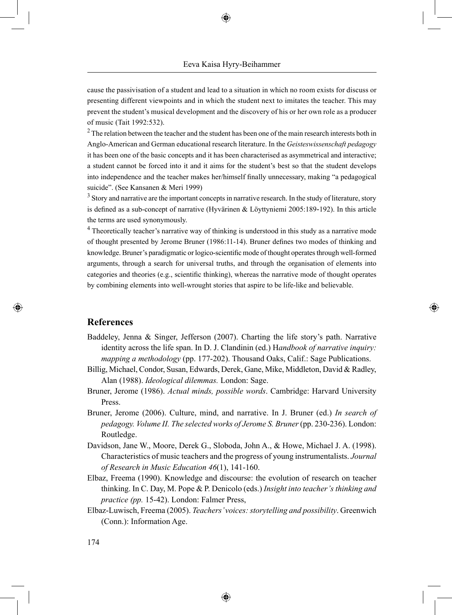cause the passivisation of a student and lead to a situation in which no room exists for discuss or presenting different viewpoints and in which the student next to imitates the teacher. This may prevent the student's musical development and the discovery of his or her own role as a producer of music (Tait 1992:532).

 $2^2$  The relation between the teacher and the student has been one of the main research interests both in Anglo-American and German educational research literature. In the *Geisteswissenschaft pedagogy* it has been one of the basic concepts and it has been characterised as asymmetrical and interactive; a student cannot be forced into it and it aims for the student's best so that the student develops into independence and the teacher makes her/himself finally unnecessary, making "a pedagogical suicide". (See Kansanen & Meri 1999)

 $3$  Story and narrative are the important concepts in narrative research. In the study of literature, story is defined as a sub-concept of narrative (Hyvärinen & Löyttyniemi 2005:189-192). In this article the terms are used synonymously.

<sup>4</sup> Theoretically teacher's narrative way of thinking is understood in this study as a narrative mode of thought presented by Jerome Bruner (1986:11-14). Bruner defines two modes of thinking and knowledge. Bruner's paradigmatic or logico-scientific mode of thought operates through well-formed arguments, through a search for universal truths, and through the organisation of elements into categories and theories (e.g., scientific thinking), whereas the narrative mode of thought operates by combining elements into well-wrought stories that aspire to be life-like and believable.

#### **References**

◈

Baddeley, Jenna & Singer, Jefferson (2007). Charting the life story's path. Narrative identity across the life span. In D. J. Clandinin (ed.) H*andbook of narrative inquiry: mapping a methodology* (pp. 177-202). Thousand Oaks, Calif.: Sage Publications.

⊕

- Billig, Michael, Condor, Susan, Edwards, Derek, Gane, Mike, Middleton, David & Radley, Alan (1988). *Ideological dilemmas.* London: Sage.
- Bruner, Jerome (1986). *Actual minds, possible words*. Cambridge: Harvard University Press.
- Bruner, Jerome (2006). Culture, mind, and narrative. In J. Bruner (ed.) *In search of pedagogy. Volume II. The selected works of Jerome S. Bruner* (pp. 230-236). London: Routledge.
- Davidson, Jane W., Moore, Derek G., Sloboda, John A., & Howe, Michael J. A. (1998). Characteristics of music teachers and the progress of young instrumentalists. *Journal of Research in Music Education 46*(1), 141-160.
- Elbaz, Freema (1990). Knowledge and discourse: the evolution of research on teacher thinking. In C. Day, M. Pope & P. Denicolo (eds.) *Insight into teacher's thinking and practice (pp.* 15-42). London: Falmer Press,
- Elbaz-Luwisch, Freema (2005). *Teachers' voices: storytelling and possibility*. Greenwich (Conn.): Information Age.

⊕

174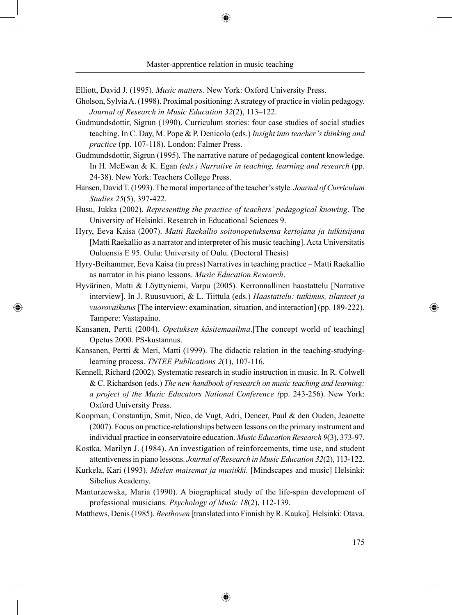Elliott, David J. (1995). *Music matters.* New York: Oxford University Press.

Gholson, Sylvia A. (1998). Proximal positioning: A strategy of practice in violin pedagogy. *Journal of Research in Music Education 32*(2), 113–122.

Gudmundsdottir, Sigrun (1990). Curriculum stories: four case studies of social studies teaching. In C. Day, M. Pope & P. Denicolo (eds.) *Insight into teacher's thinking and practice* (pp. 107-118). London: Falmer Press.

Gudmundsdottir, Sigrun (1995). The narrative nature of pedagogical content knowledge. In H. McEwan & K. Egan *(eds.) Narrative in teaching, learning and research* (pp. 24-38). New York: Teachers College Press.

- Hansen, David T. (1993). The moral importance of the teacher's style. *Journal of Curriculum Studies 25*(5), 397-422.
- Husu, Jukka (2002). *Representing the practice of teachers' pedagogical knowing*. The University of Helsinki. Research in Educational Sciences 9.
- Hyry, Eeva Kaisa (2007). *Matti Raekallio soitonopetuksensa kertojana ja tulkitsijana* [Matti Raekallio as a narrator and interpreter of his music teaching]. Acta Universitatis Ouluensis E 95. Oulu: University of Oulu. (Doctoral Thesis)
- Hyry-Beihammer, Eeva Kaisa (in press) Narratives in teaching practice Matti Raekallio as narrator in his piano lessons. *Music Education Research*.
- Hyvärinen, Matti & Löyttyniemi, Varpu (2005). Kerronnallinen haastattelu [Narrative interview]. In J. Ruusuvuori, & L. Tiittula (eds.) *Haastattelu: tutkimus, tilanteet ja vuorovaikutus* [The interview: examination, situation, and interaction] (pp. 189-222). Tampere: Vastapaino.

◈

- Kansanen, Pertti (2004). *Opetuksen käsitemaailma*.[The concept world of teaching] Opetus 2000. PS-kustannus.
- Kansanen, Pertti & Meri, Matti (1999). The didactic relation in the teaching-studyinglearning process. *TNTEE Publications 2*(1), 107-116.
- Kennell, Richard (2002). Systematic research in studio instruction in music. In R. Colwell & C. Richardson (eds.) *The new handbook of research on music teaching and learning: a project of the Music Educators National Conference (*pp. 243-256). New York: Oxford University Press.
- Koopman, Constantijn, Smit, Nico, de Vugt, Adri, Deneer, Paul & den Ouden, Jeanette (2007). Focus on practice-relationships between lessons on the primary instrument and individual practice in conservatoire education. *Music Education Research 9*(3), 373-97.
- Kostka, Marilyn J. (1984). An investigation of reinforcements, time use, and student attentiveness in piano lessons. *Journal of Research in Music Education 32*(2), 113-122.
- Kurkela, Kari (1993). *Mielen maisemat ja musiikki.* [Mindscapes and music] Helsinki: Sibelius Academy.
- Manturzewska, Maria (1990). A biographical study of the life-span development of professional musicians. *Psychology of Music 18*(2), 112-139.
- Matthews, Denis (1985). *Beethoven* [translated into Finnish by R. Kauko]. Helsinki: Otava.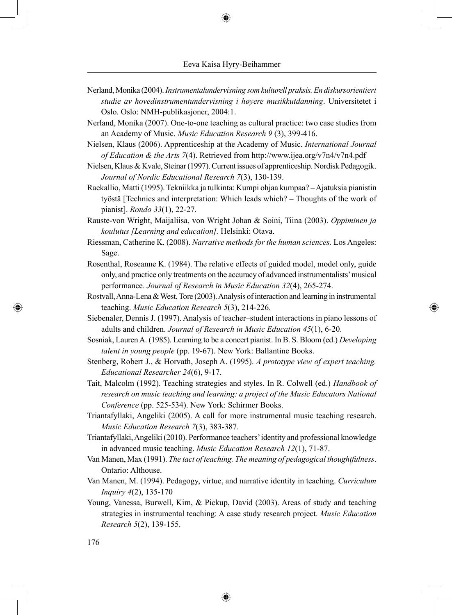- Nerland, Monika (2004). *Instrumentalundervisning som kulturell praksis. En diskursorientiert studie av hovedinstrumentundervisning i høyere musikkutdanning*. Universitetet i Oslo. Oslo: NMH-publikasjoner, 2004:1.
- Nerland, Monika (2007). One-to-one teaching as cultural practice: two case studies from an Academy of Music. *Music Education Research 9* (3), 399-416.
- Nielsen, Klaus (2006). Apprenticeship at the Academy of Music. *International Journal of Education & the Arts 7*(4). Retrieved from http://www.ijea.org/v7n4/v7n4.pdf
- Nielsen, Klaus & Kvale, Steinar (1997). Current issues of apprenticeship. Nordisk Pedagogik. *Journal of Nordic Educational Research 7*(3), 130-139.
- Raekallio, Matti (1995). Tekniikka ja tulkinta: Kumpi ohjaa kumpaa? Ajatuksia pianistin työstä [Technics and interpretation: Which leads which? – Thoughts of the work of pianist]. *Rondo 33*(1), 22-27.
- Rauste-von Wright, Maijaliisa, von Wright Johan & Soini, Tiina (2003). *Oppiminen ja koulutus [Learning and education].* Helsinki: Otava.
- Riessman, Catherine K. (2008). *Narrative methods for the human sciences.* Los Angeles: Sage.
- Rosenthal, Roseanne K. (1984). The relative effects of guided model, model only, guide only, and practice only treatments on the accuracy of advanced instrumentalists' musical performance. *Journal of Research in Music Education 32*(4), 265-274.
- Rostvall, Anna-Lena & West, Tore (2003). Analysis of interaction and learning in instrumental teaching. *Music Education Research 5*(3), 214-226.

⊕

- Siebenaler, Dennis J. (1997). Analysis of teacher–student interactions in piano lessons of adults and children. *Journal of Research in Music Education 45*(1), 6-20.
- Sosniak, Lauren A. (1985). Learning to be a concert pianist. In B. S. Bloom (ed.) *Developing talent in young people* (pp. 19-67). New York: Ballantine Books.
- Stenberg, Robert J., & Horvath, Joseph A. (1995). *A prototype view of expert teaching. Educational Researcher 24*(6), 9-17.
- Tait, Malcolm (1992). Teaching strategies and styles. In R. Colwell (ed.) *Handbook of*  research on music teaching and learning: a project of the Music Educators National *Conference* (pp. 525-534). New York: Schirmer Books.
- Triantafyllaki, Angeliki (2005). A call for more instrumental music teaching research. *Music Education Research 7*(3), 383-387.
- Triantafyllaki, Angeliki (2010). Performance teachers' identity and professional knowledge in advanced music teaching. *Music Education Research 12*(1), 71-87.
- Van Manen, Max (1991). *The tact of teaching. The meaning of pedagogical thoughtfulness*. Ontario: Althouse.
- Van Manen, M. (1994). Pedagogy, virtue, and narrative identity in teaching. *Curriculum Inquiry 4*(2), 135-170
- Young, Vanessa, Burwell, Kim, & Pickup, David (2003). Areas of study and teaching strategies in instrumental teaching: A case study research project. *Music Education Research 5*(2), 139-155.

⊕

176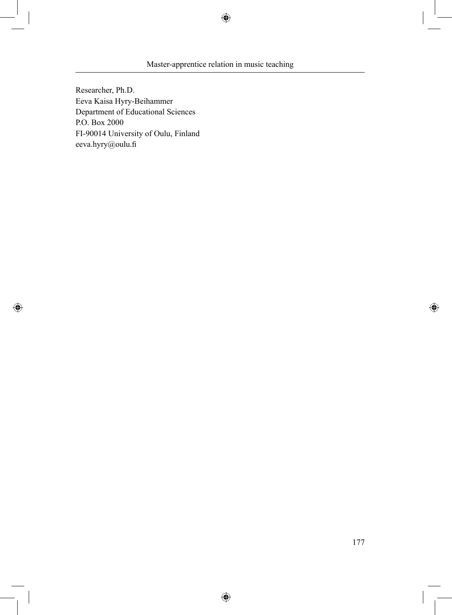Master-apprentice relation in music teaching

 $\bigoplus$ 

 $\bigoplus$ 

Researcher, Ph.D. Eeva Kaisa Hyry-Beihammer Department of Educational Sciences P.O. Box 2000 FI-90014 University of Oulu, Finland eeva.hyry@oulu.fi

◈

 $\bigoplus$